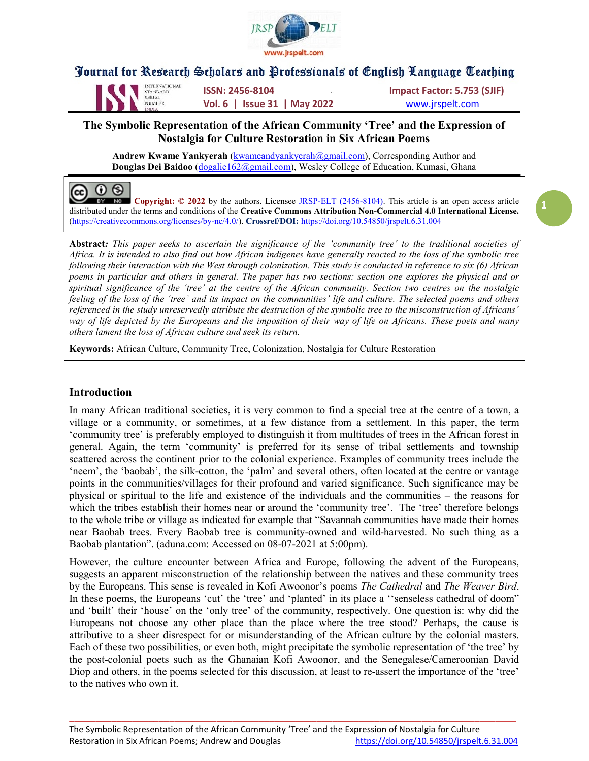



INTERNATIONAL **ISSN: 2456-8104** ISSN: 2456-8104 Impact Factor: 5.753 (SJIF) NUMBER **Vol. 6 | Issue 31 | May 2022** WWW.jrspelt.com

### The Symbolic Representation of the African Community 'Tree' and the Expression of Nostalgia for Culture Restoration in Six African Poems

Andrew Kwame Yankyerah (kwameandyankyerah@gmail.com), Corresponding Author and Douglas Dei Baidoo (dogalic162@gmail.com), Wesley College of Education, Kumasi, Ghana

#### റ ഒ (cc)

**NG** Copyright: © 2022 by the authors. Licensee JRSP-ELT (2456-8104). This article is an open access article distributed under the terms and conditions of the Creative Commons Attribution Non-Commercial 4.0 International License. (https://creativecommons.org/licenses/by-nc/4.0/). Crossref/DOI: https://doi.org/10.54850/jrspelt.6.31.004

Abstract: This paper seeks to ascertain the significance of the 'community tree' to the traditional societies of Africa. It is intended to also find out how African indigenes have generally reacted to the loss of the symbolic tree following their interaction with the West through colonization. This study is conducted in reference to six (6) African poems in particular and others in general. The paper has two sections: section one explores the physical and or spiritual significance of the 'tree' at the centre of the African community. Section two centres on the nostalgic feeling of the loss of the 'tree' and its impact on the communities' life and culture. The selected poems and others referenced in the study unreservedly attribute the destruction of the symbolic tree to the misconstruction of Africans' way of life depicted by the Europeans and the imposition of their way of life on Africans. These poets and many others lament the loss of African culture and seek its return.

Keywords: African Culture, Community Tree, Colonization, Nostalgia for Culture Restoration

### Introduction

In many African traditional societies, it is very common to find a special tree at the centre of a town, a village or a community, or sometimes, at a few distance from a settlement. In this paper, the term 'community tree' is preferably employed to distinguish it from multitudes of trees in the African forest in general. Again, the term 'community' is preferred for its sense of tribal settlements and township scattered across the continent prior to the colonial experience. Examples of community trees include the 'neem', the 'baobab', the silk-cotton, the 'palm' and several others, often located at the centre or vantage points in the communities/villages for their profound and varied significance. Such significance may be physical or spiritual to the life and existence of the individuals and the communities – the reasons for which the tribes establish their homes near or around the 'community tree'. The 'tree' therefore belongs to the whole tribe or village as indicated for example that "Savannah communities have made their homes near Baobab trees. Every Baobab tree is community-owned and wild-harvested. No such thing as a Baobab plantation". (aduna.com: Accessed on 08-07-2021 at 5:00pm).

However, the culture encounter between Africa and Europe, following the advent of the Europeans, suggests an apparent misconstruction of the relationship between the natives and these community trees by the Europeans. This sense is revealed in Kofi Awoonor's poems The Cathedral and The Weaver Bird. In these poems, the Europeans 'cut' the 'tree' and 'planted' in its place a "senseless cathedral of doom" and 'built' their 'house' on the 'only tree' of the community, respectively. One question is: why did the Europeans not choose any other place than the place where the tree stood? Perhaps, the cause is attributive to a sheer disrespect for or misunderstanding of the African culture by the colonial masters. Each of these two possibilities, or even both, might precipitate the symbolic representation of 'the tree' by the post-colonial poets such as the Ghanaian Kofi Awoonor, and the Senegalese/Cameroonian David Diop and others, in the poems selected for this discussion, at least to re-assert the importance of the 'tree' to the natives who own it.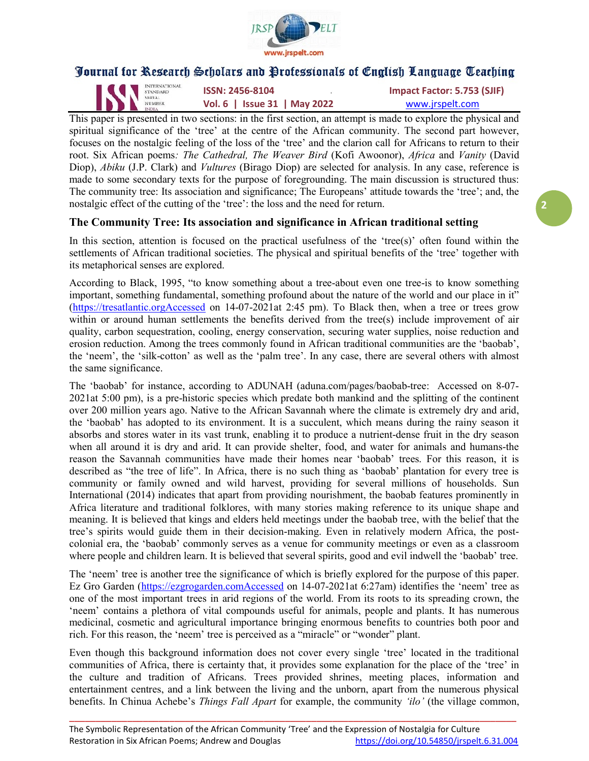

INTERNATIONAL **ISSN: 2456-8104 IMpact Factor: 5.753 (SJIF)**<br>
SERIAL **ISSN: 2456-8104 Impact Factor: 5.753 (SJIF)** Vol. 6 | Issue 31 | May 2022 www.jrspelt.com

This paper is presented in two sections: in the first section, an attempt is made to explore the physical and spiritual significance of the 'tree' at the centre of the African community. The second part however, focuses on the nostalgic feeling of the loss of the 'tree' and the clarion call for Africans to return to their root. Six African poems: The Cathedral, The Weaver Bird (Kofi Awoonor), Africa and Vanity (David Diop), Abiku (J.P. Clark) and *Vultures* (Birago Diop) are selected for analysis. In any case, reference is made to some secondary texts for the purpose of foregrounding. The main discussion is structured thus: The community tree: Its association and significance; The Europeans' attitude towards the 'tree'; and, the nostalgic effect of the cutting of the 'tree': the loss and the need for return.

### The Community Tree: Its association and significance in African traditional setting

In this section, attention is focused on the practical usefulness of the 'tree(s)' often found within the settlements of African traditional societies. The physical and spiritual benefits of the 'tree' together with its metaphorical senses are explored.

According to Black, 1995, "to know something about a tree-about even one tree-is to know something important, something fundamental, something profound about the nature of the world and our place in it" (https://tresatlantic.orgAccessed on 14-07-2021at 2:45 pm). To Black then, when a tree or trees grow within or around human settlements the benefits derived from the tree(s) include improvement of air quality, carbon sequestration, cooling, energy conservation, securing water supplies, noise reduction and erosion reduction. Among the trees commonly found in African traditional communities are the 'baobab', the 'neem', the 'silk-cotton' as well as the 'palm tree'. In any case, there are several others with almost the same significance.

The 'baobab' for instance, according to ADUNAH (aduna.com/pages/baobab-tree: Accessed on 8-07- 2021at 5:00 pm), is a pre-historic species which predate both mankind and the splitting of the continent over 200 million years ago. Native to the African Savannah where the climate is extremely dry and arid, the 'baobab' has adopted to its environment. It is a succulent, which means during the rainy season it absorbs and stores water in its vast trunk, enabling it to produce a nutrient-dense fruit in the dry season when all around it is dry and arid. It can provide shelter, food, and water for animals and humans-the reason the Savannah communities have made their homes near 'baobab' trees. For this reason, it is described as "the tree of life". In Africa, there is no such thing as 'baobab' plantation for every tree is community or family owned and wild harvest, providing for several millions of households. Sun International (2014) indicates that apart from providing nourishment, the baobab features prominently in Africa literature and traditional folklores, with many stories making reference to its unique shape and meaning. It is believed that kings and elders held meetings under the baobab tree, with the belief that the tree's spirits would guide them in their decision-making. Even in relatively modern Africa, the postcolonial era, the 'baobab' commonly serves as a venue for community meetings or even as a classroom where people and children learn. It is believed that several spirits, good and evil indwell the 'baobab' tree.

The 'neem' tree is another tree the significance of which is briefly explored for the purpose of this paper. Ez Gro Garden (https://ezgrogarden.comAccessed on 14-07-2021at 6:27am) identifies the 'neem' tree as one of the most important trees in arid regions of the world. From its roots to its spreading crown, the 'neem' contains a plethora of vital compounds useful for animals, people and plants. It has numerous medicinal, cosmetic and agricultural importance bringing enormous benefits to countries both poor and rich. For this reason, the 'neem' tree is perceived as a "miracle" or "wonder" plant.

Even though this background information does not cover every single 'tree' located in the traditional communities of Africa, there is certainty that, it provides some explanation for the place of the 'tree' in the culture and tradition of Africans. Trees provided shrines, meeting places, information and entertainment centres, and a link between the living and the unborn, apart from the numerous physical benefits. In Chinua Achebe's Things Fall Apart for example, the community 'ilo' (the village common,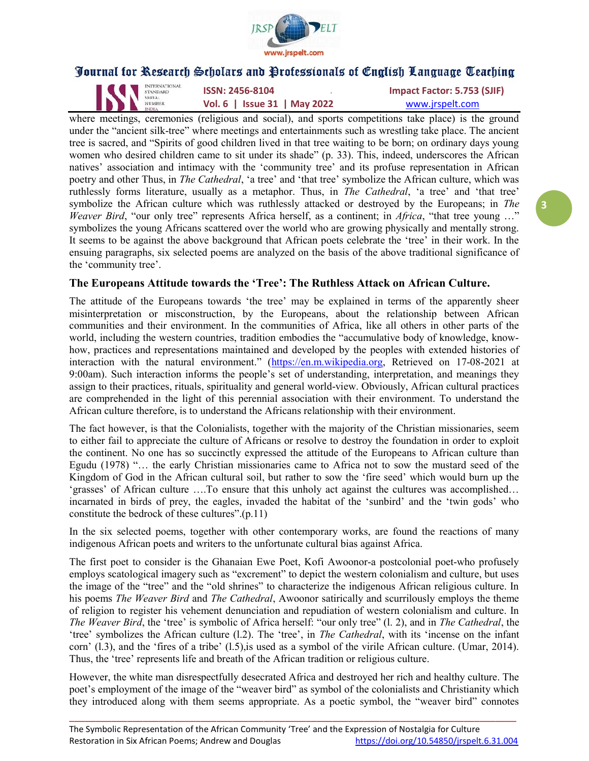

INTERNATIONAL **ISSN: 2456-8104 IMPACT Factor: 5.753 (SJIF)**<br>
SERIAL **ISSN: 2456-8104 Impact Factor: 5.753 (SJIF)**<br>
NUMBER **VOL. 6 | ISSUE 31 | May 2022 WWW.irspelt.com** Vol. 6 | Issue 31 | May 2022 www.jrspelt.com

where meetings, ceremonies (religious and social), and sports competitions take place) is the ground under the "ancient silk-tree" where meetings and entertainments such as wrestling take place. The ancient tree is sacred, and "Spirits of good children lived in that tree waiting to be born; on ordinary days young women who desired children came to sit under its shade" (p. 33). This, indeed, underscores the African natives' association and intimacy with the 'community tree' and its profuse representation in African poetry and other Thus, in *The Cathedral*, 'a tree' and 'that tree' symbolize the African culture, which was ruthlessly forms literature, usually as a metaphor. Thus, in The Cathedral, 'a tree' and 'that tree' symbolize the African culture which was ruthlessly attacked or destroyed by the Europeans; in The Weaver Bird, "our only tree" represents Africa herself, as a continent; in Africa, "that tree young ..." symbolizes the young Africans scattered over the world who are growing physically and mentally strong. It seems to be against the above background that African poets celebrate the 'tree' in their work. In the ensuing paragraphs, six selected poems are analyzed on the basis of the above traditional significance of the 'community tree'.

### The Europeans Attitude towards the 'Tree': The Ruthless Attack on African Culture.

The attitude of the Europeans towards 'the tree' may be explained in terms of the apparently sheer misinterpretation or misconstruction, by the Europeans, about the relationship between African communities and their environment. In the communities of Africa, like all others in other parts of the world, including the western countries, tradition embodies the "accumulative body of knowledge, knowhow, practices and representations maintained and developed by the peoples with extended histories of interaction with the natural environment." (https://en.m.wikipedia.org, Retrieved on 17-08-2021 at 9:00am). Such interaction informs the people's set of understanding, interpretation, and meanings they assign to their practices, rituals, spirituality and general world-view. Obviously, African cultural practices are comprehended in the light of this perennial association with their environment. To understand the African culture therefore, is to understand the Africans relationship with their environment.

The fact however, is that the Colonialists, together with the majority of the Christian missionaries, seem to either fail to appreciate the culture of Africans or resolve to destroy the foundation in order to exploit the continent. No one has so succinctly expressed the attitude of the Europeans to African culture than Egudu (1978) "… the early Christian missionaries came to Africa not to sow the mustard seed of the Kingdom of God in the African cultural soil, but rather to sow the 'fire seed' which would burn up the 'grasses' of African culture ….To ensure that this unholy act against the cultures was accomplished… incarnated in birds of prey, the eagles, invaded the habitat of the 'sunbird' and the 'twin gods' who constitute the bedrock of these cultures".(p.11)

In the six selected poems, together with other contemporary works, are found the reactions of many indigenous African poets and writers to the unfortunate cultural bias against Africa.

The first poet to consider is the Ghanaian Ewe Poet, Kofi Awoonor-a postcolonial poet-who profusely employs scatological imagery such as "excrement" to depict the western colonialism and culture, but uses the image of the "tree" and the "old shrines" to characterize the indigenous African religious culture. In his poems *The Weaver Bird* and *The Cathedral*, Awoonor satirically and scurrilously employs the theme of religion to register his vehement denunciation and repudiation of western colonialism and culture. In The Weaver Bird, the 'tree' is symbolic of Africa herself: "our only tree" (l. 2), and in The Cathedral, the 'tree' symbolizes the African culture (l.2). The 'tree', in The Cathedral, with its 'incense on the infant corn' (l.3), and the 'fires of a tribe' (l.5),is used as a symbol of the virile African culture. (Umar, 2014). Thus, the 'tree' represents life and breath of the African tradition or religious culture.

However, the white man disrespectfully desecrated Africa and destroyed her rich and healthy culture. The poet's employment of the image of the "weaver bird" as symbol of the colonialists and Christianity which they introduced along with them seems appropriate. As a poetic symbol, the "weaver bird" connotes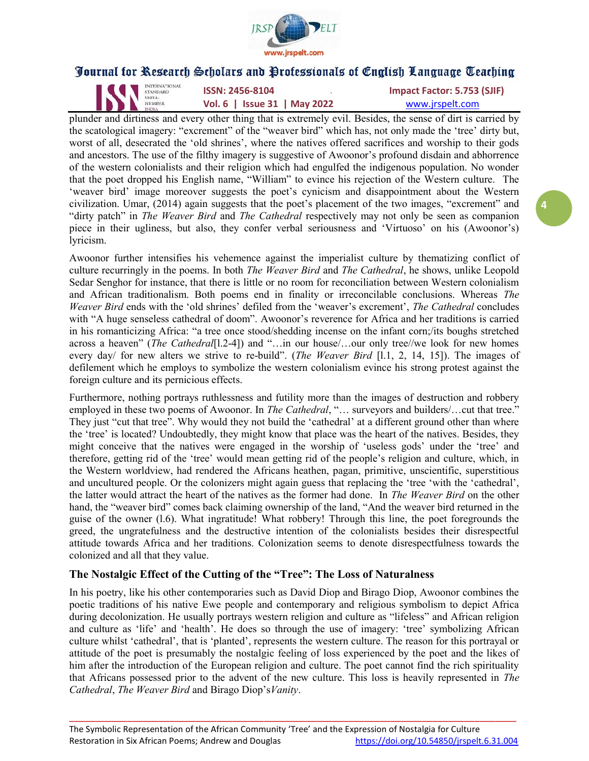

INTERNATIONAL **ISSN: 2456-8104 Impact Factor: 5.753 (SJIF)**<br>
Impact Factor: 5.753 (SJIF)<br>
NAMAL ISSN: 2456-8104 **IMPACT ACTOR: 1975** Vol. 6 | Issue 31 | May 2022 www.jrspelt.com

plunder and dirtiness and every other thing that is extremely evil. Besides, the sense of dirt is carried by the scatological imagery: "excrement" of the "weaver bird" which has, not only made the 'tree' dirty but, worst of all, desecrated the 'old shrines', where the natives offered sacrifices and worship to their gods and ancestors. The use of the filthy imagery is suggestive of Awoonor's profound disdain and abhorrence of the western colonialists and their religion which had engulfed the indigenous population. No wonder that the poet dropped his English name, "William" to evince his rejection of the Western culture. The 'weaver bird' image moreover suggests the poet's cynicism and disappointment about the Western civilization. Umar, (2014) again suggests that the poet's placement of the two images, "excrement" and "dirty patch" in The Weaver Bird and The Cathedral respectively may not only be seen as companion piece in their ugliness, but also, they confer verbal seriousness and 'Virtuoso' on his (Awoonor's) lyricism.

Awoonor further intensifies his vehemence against the imperialist culture by thematizing conflict of culture recurringly in the poems. In both *The Weaver Bird* and *The Cathedral*, he shows, unlike Leopold Sedar Senghor for instance, that there is little or no room for reconciliation between Western colonialism and African traditionalism. Both poems end in finality or irreconcilable conclusions. Whereas The Weaver Bird ends with the 'old shrines' defiled from the 'weaver's excrement', The Cathedral concludes with "A huge senseless cathedral of doom". Awoonor's reverence for Africa and her traditions is carried in his romanticizing Africa: "a tree once stood/shedding incense on the infant corn;/its boughs stretched across a heaven" (The Cathedral[1.2-4]) and "...in our house/...our only tree//we look for new homes every day/ for new alters we strive to re-build". (The Weaver Bird [1.1, 2, 14, 15]). The images of defilement which he employs to symbolize the western colonialism evince his strong protest against the foreign culture and its pernicious effects.

Furthermore, nothing portrays ruthlessness and futility more than the images of destruction and robbery employed in these two poems of Awoonor. In *The Cathedral*, "... surveyors and builders/...cut that tree." They just "cut that tree". Why would they not build the 'cathedral' at a different ground other than where the 'tree' is located? Undoubtedly, they might know that place was the heart of the natives. Besides, they might conceive that the natives were engaged in the worship of 'useless gods' under the 'tree' and therefore, getting rid of the 'tree' would mean getting rid of the people's religion and culture, which, in the Western worldview, had rendered the Africans heathen, pagan, primitive, unscientific, superstitious and uncultured people. Or the colonizers might again guess that replacing the 'tree 'with the 'cathedral', the latter would attract the heart of the natives as the former had done. In *The Weaver Bird* on the other hand, the "weaver bird" comes back claiming ownership of the land, "And the weaver bird returned in the guise of the owner (l.6). What ingratitude! What robbery! Through this line, the poet foregrounds the greed, the ungratefulness and the destructive intention of the colonialists besides their disrespectful attitude towards Africa and her traditions. Colonization seems to denote disrespectfulness towards the colonized and all that they value.

### The Nostalgic Effect of the Cutting of the "Tree": The Loss of Naturalness

In his poetry, like his other contemporaries such as David Diop and Birago Diop, Awoonor combines the poetic traditions of his native Ewe people and contemporary and religious symbolism to depict Africa during decolonization. He usually portrays western religion and culture as "lifeless" and African religion and culture as 'life' and 'health'. He does so through the use of imagery: 'tree' symbolizing African culture whilst 'cathedral', that is 'planted', represents the western culture. The reason for this portrayal or attitude of the poet is presumably the nostalgic feeling of loss experienced by the poet and the likes of him after the introduction of the European religion and culture. The poet cannot find the rich spirituality that Africans possessed prior to the advent of the new culture. This loss is heavily represented in The Cathedral, The Weaver Bird and Birago Diop'sVanity.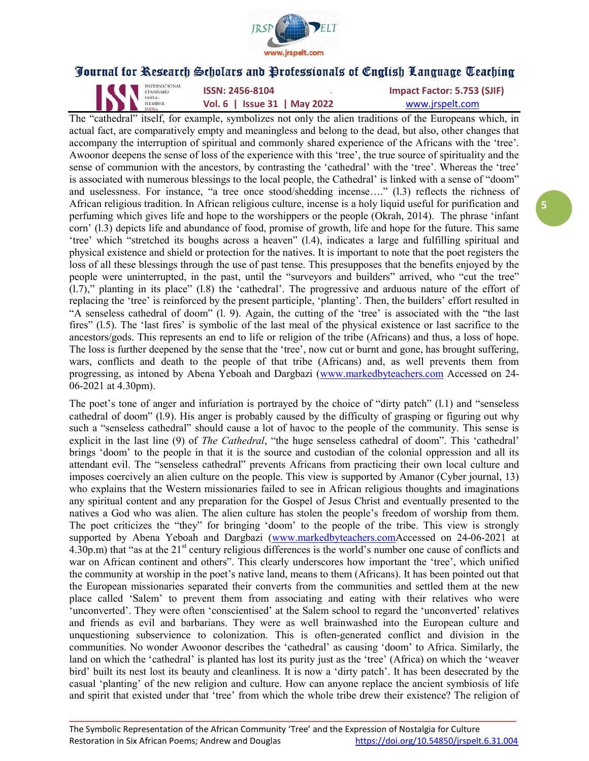

INTERNATIONAL **ISSN: 2456-8104 Impact Factor: 5.753 (SJIF)**<br>
SERIAL **ISSN: 2456-8104 Impact Factor: 5.753 (SJIF)** Vol. 6 | Issue 31 | May 2022 www.jrspelt.com

The "cathedral" itself, for example, symbolizes not only the alien traditions of the Europeans which, in actual fact, are comparatively empty and meaningless and belong to the dead, but also, other changes that accompany the interruption of spiritual and commonly shared experience of the Africans with the 'tree'. Awoonor deepens the sense of loss of the experience with this 'tree', the true source of spirituality and the sense of communion with the ancestors, by contrasting the 'cathedral' with the 'tree'. Whereas the 'tree' is associated with numerous blessings to the local people, the Cathedral' is linked with a sense of "doom" and uselessness. For instance, "a tree once stood/shedding incense…." (l.3) reflects the richness of African religious tradition. In African religious culture, incense is a holy liquid useful for purification and perfuming which gives life and hope to the worshippers or the people (Okrah, 2014). The phrase 'infant corn' (1.3) depicts life and abundance of food, promise of growth, life and hope for the future. This same 'tree' which "stretched its boughs across a heaven" (l.4), indicates a large and fulfilling spiritual and physical existence and shield or protection for the natives. It is important to note that the poet registers the loss of all these blessings through the use of past tense. This presupposes that the benefits enjoyed by the people were uninterrupted, in the past, until the "surveyors and builders" arrived, who "cut the tree" (l.7)," planting in its place" (l.8) the 'cathedral'. The progressive and arduous nature of the effort of replacing the 'tree' is reinforced by the present participle, 'planting'. Then, the builders' effort resulted in "A senseless cathedral of doom" (l. 9). Again, the cutting of the 'tree' is associated with the "the last fires" (l.5). The 'last fires' is symbolic of the last meal of the physical existence or last sacrifice to the ancestors/gods. This represents an end to life or religion of the tribe (Africans) and thus, a loss of hope. The loss is further deepened by the sense that the 'tree', now cut or burnt and gone, has brought suffering, wars, conflicts and death to the people of that tribe (Africans) and, as well prevents them from progressing, as intoned by Abena Yeboah and Dargbazi (www.markedbyteachers.com Accessed on 24- 06-2021 at 4.30pm).

The poet's tone of anger and infuriation is portrayed by the choice of "dirty patch" (l.1) and "senseless cathedral of doom" (l.9). His anger is probably caused by the difficulty of grasping or figuring out why such a "senseless cathedral" should cause a lot of havoc to the people of the community. This sense is explicit in the last line (9) of *The Cathedral*, "the huge senseless cathedral of doom". This 'cathedral' brings 'doom' to the people in that it is the source and custodian of the colonial oppression and all its attendant evil. The "senseless cathedral" prevents Africans from practicing their own local culture and imposes coercively an alien culture on the people. This view is supported by Amanor (Cyber journal, 13) who explains that the Western missionaries failed to see in African religious thoughts and imaginations any spiritual content and any preparation for the Gospel of Jesus Christ and eventually presented to the natives a God who was alien. The alien culture has stolen the people's freedom of worship from them. The poet criticizes the "they" for bringing 'doom' to the people of the tribe. This view is strongly supported by Abena Yeboah and Dargbazi (www.markedbyteachers.comAccessed on 24-06-2021 at  $4.30$ p.m) that "as at the  $21<sup>st</sup>$  century religious differences is the world's number one cause of conflicts and war on African continent and others". This clearly underscores how important the 'tree', which unified the community at worship in the poet's native land, means to them (Africans). It has been pointed out that the European missionaries separated their converts from the communities and settled them at the new place called 'Salem' to prevent them from associating and eating with their relatives who were 'unconverted'. They were often 'conscientised' at the Salem school to regard the 'unconverted' relatives and friends as evil and barbarians. They were as well brainwashed into the European culture and unquestioning subservience to colonization. This is often-generated conflict and division in the communities. No wonder Awoonor describes the 'cathedral' as causing 'doom' to Africa. Similarly, the land on which the 'cathedral' is planted has lost its purity just as the 'tree' (Africa) on which the 'weaver bird' built its nest lost its beauty and cleanliness. It is now a 'dirty patch'. It has been desecrated by the casual 'planting' of the new religion and culture. How can anyone replace the ancient symbiosis of life and spirit that existed under that 'tree' from which the whole tribe drew their existence? The religion of

\_\_\_\_\_\_\_\_\_\_\_\_\_\_\_\_\_\_\_\_\_\_\_\_\_\_\_\_\_\_\_\_\_\_\_\_\_\_\_\_\_\_\_\_\_\_\_\_\_\_\_\_\_\_\_\_\_\_\_\_\_\_\_\_\_\_\_\_\_\_\_\_\_\_\_\_\_\_\_\_\_\_\_\_\_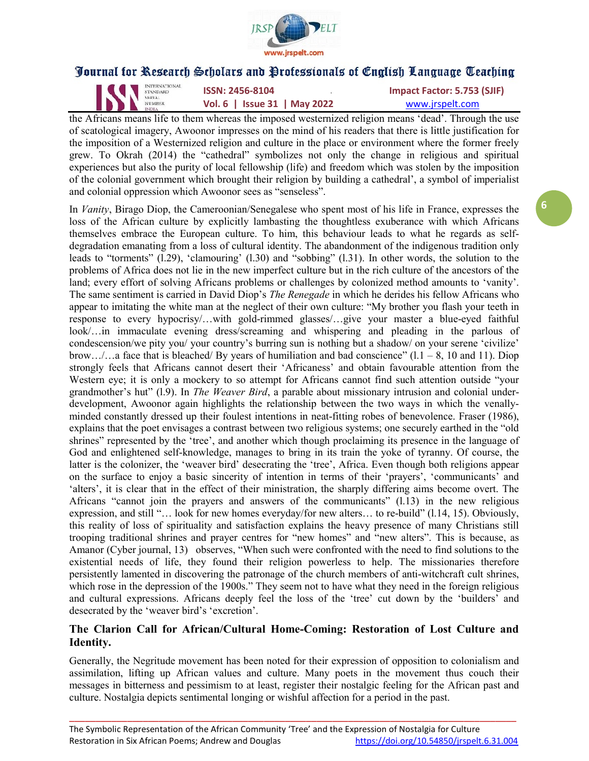

INTERNATIONAL **ISSN: 2456-8104 IMPACT Factor: 5.753 (SJIF)**<br>
SERIAL **ISSN: 2456-8104 Impact Factor: 5.753 (SJIF)**<br>
NUMBER **VOL. 6 | ISSUE 31 | May 2022** WWW.irspelt.com Vol. 6 | Issue 31 | May 2022 www.jrspelt.com

the Africans means life to them whereas the imposed westernized religion means 'dead'. Through the use of scatological imagery, Awoonor impresses on the mind of his readers that there is little justification for the imposition of a Westernized religion and culture in the place or environment where the former freely grew. To Okrah (2014) the "cathedral" symbolizes not only the change in religious and spiritual experiences but also the purity of local fellowship (life) and freedom which was stolen by the imposition of the colonial government which brought their religion by building a cathedral', a symbol of imperialist and colonial oppression which Awoonor sees as "senseless".

In Vanity, Birago Diop, the Cameroonian/Senegalese who spent most of his life in France, expresses the loss of the African culture by explicitly lambasting the thoughtless exuberance with which Africans themselves embrace the European culture. To him, this behaviour leads to what he regards as selfdegradation emanating from a loss of cultural identity. The abandonment of the indigenous tradition only leads to "torments" (l.29), 'clamouring' (l.30) and "sobbing" (l.31). In other words, the solution to the problems of Africa does not lie in the new imperfect culture but in the rich culture of the ancestors of the land; every effort of solving Africans problems or challenges by colonized method amounts to 'vanity'. The same sentiment is carried in David Diop's *The Renegade* in which he derides his fellow Africans who appear to imitating the white man at the neglect of their own culture: "My brother you flash your teeth in response to every hypocrisy/…with gold-rimmed glasses/…give your master a blue-eyed faithful look/…in immaculate evening dress/screaming and whispering and pleading in the parlous of condescension/we pity you/ your country's burring sun is nothing but a shadow/ on your serene 'civilize' brow…/…a face that is bleached/ By years of humiliation and bad conscience" (l.1 – 8, 10 and 11). Diop strongly feels that Africans cannot desert their 'Africaness' and obtain favourable attention from the Western eye; it is only a mockery to so attempt for Africans cannot find such attention outside "your grandmother's hut" (l.9). In The Weaver Bird, a parable about missionary intrusion and colonial underdevelopment, Awoonor again highlights the relationship between the two ways in which the venallyminded constantly dressed up their foulest intentions in neat-fitting robes of benevolence. Fraser (1986), explains that the poet envisages a contrast between two religious systems; one securely earthed in the "old shrines" represented by the 'tree', and another which though proclaiming its presence in the language of God and enlightened self-knowledge, manages to bring in its train the yoke of tyranny. Of course, the latter is the colonizer, the 'weaver bird' desecrating the 'tree', Africa. Even though both religions appear on the surface to enjoy a basic sincerity of intention in terms of their 'prayers', 'communicants' and 'alters', it is clear that in the effect of their ministration, the sharply differing aims become overt. The Africans "cannot join the prayers and answers of the communicants" (l.13) in the new religious expression, and still "… look for new homes everyday/for new alters… to re-build" (l.14, 15). Obviously, this reality of loss of spirituality and satisfaction explains the heavy presence of many Christians still trooping traditional shrines and prayer centres for "new homes" and "new alters". This is because, as Amanor (Cyber journal, 13) observes, "When such were confronted with the need to find solutions to the existential needs of life, they found their religion powerless to help. The missionaries therefore persistently lamented in discovering the patronage of the church members of anti-witchcraft cult shrines, which rose in the depression of the 1900s." They seem not to have what they need in the foreign religious and cultural expressions. Africans deeply feel the loss of the 'tree' cut down by the 'builders' and desecrated by the 'weaver bird's 'excretion'.

### The Clarion Call for African/Cultural Home-Coming: Restoration of Lost Culture and Identity.

Generally, the Negritude movement has been noted for their expression of opposition to colonialism and assimilation, lifting up African values and culture. Many poets in the movement thus couch their messages in bitterness and pessimism to at least, register their nostalgic feeling for the African past and culture. Nostalgia depicts sentimental longing or wishful affection for a period in the past.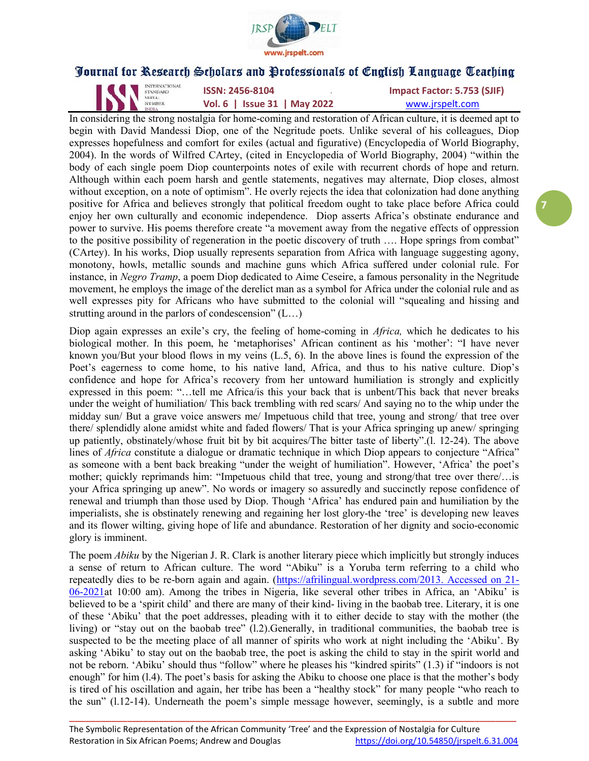

INTERNATIONAL **ISSN: 2456-8104 Impact Factor: 5.753 (SJIF)**<br>
Impact Factor: 5.753 (SJIF)<br>
NAMAL ISSN: 2456-8104 **IMPACT ACTOR: 1975** Vol. 6 | Issue 31 | May 2022 www.jrspelt.com

In considering the strong nostalgia for home-coming and restoration of African culture, it is deemed apt to begin with David Mandessi Diop, one of the Negritude poets. Unlike several of his colleagues, Diop expresses hopefulness and comfort for exiles (actual and figurative) (Encyclopedia of World Biography, 2004). In the words of Wilfred CArtey, (cited in Encyclopedia of World Biography, 2004) "within the body of each single poem Diop counterpoints notes of exile with recurrent chords of hope and return. Although within each poem harsh and gentle statements, negatives may alternate, Diop closes, almost without exception, on a note of optimism". He overly rejects the idea that colonization had done anything positive for Africa and believes strongly that political freedom ought to take place before Africa could enjoy her own culturally and economic independence. Diop asserts Africa's obstinate endurance and power to survive. His poems therefore create "a movement away from the negative effects of oppression to the positive possibility of regeneration in the poetic discovery of truth …. Hope springs from combat" (CArtey). In his works, Diop usually represents separation from Africa with language suggesting agony, monotony, howls, metallic sounds and machine guns which Africa suffered under colonial rule. For instance, in Negro Tramp, a poem Diop dedicated to Aime Ceseire, a famous personality in the Negritude movement, he employs the image of the derelict man as a symbol for Africa under the colonial rule and as well expresses pity for Africans who have submitted to the colonial will "squealing and hissing and strutting around in the parlors of condescension"  $(L...)$ 

Diop again expresses an exile's cry, the feeling of home-coming in Africa, which he dedicates to his biological mother. In this poem, he 'metaphorises' African continent as his 'mother': "I have never known you/But your blood flows in my veins (L.5, 6). In the above lines is found the expression of the Poet's eagerness to come home, to his native land, Africa, and thus to his native culture. Diop's confidence and hope for Africa's recovery from her untoward humiliation is strongly and explicitly expressed in this poem: "…tell me Africa/is this your back that is unbent/This back that never breaks under the weight of humiliation/ This back trembling with red scars/ And saying no to the whip under the midday sun/ But a grave voice answers me/ Impetuous child that tree, young and strong/ that tree over there/ splendidly alone amidst white and faded flowers/ That is your Africa springing up anew/ springing up patiently, obstinately/whose fruit bit by bit acquires/The bitter taste of liberty".(l. 12-24). The above lines of Africa constitute a dialogue or dramatic technique in which Diop appears to conjecture "Africa" as someone with a bent back breaking "under the weight of humiliation". However, 'Africa' the poet's mother; quickly reprimands him: "Impetuous child that tree, young and strong/that tree over there/…is your Africa springing up anew". No words or imagery so assuredly and succinctly repose confidence of renewal and triumph than those used by Diop. Though 'Africa' has endured pain and humiliation by the imperialists, she is obstinately renewing and regaining her lost glory-the 'tree' is developing new leaves and its flower wilting, giving hope of life and abundance. Restoration of her dignity and socio-economic glory is imminent.

The poem Abiku by the Nigerian J. R. Clark is another literary piece which implicitly but strongly induces a sense of return to African culture. The word "Abiku" is a Yoruba term referring to a child who repeatedly dies to be re-born again and again. (https://afrilingual.wordpress.com/2013. Accessed on 21- 06-2021at 10:00 am). Among the tribes in Nigeria, like several other tribes in Africa, an 'Abiku' is believed to be a 'spirit child' and there are many of their kind- living in the baobab tree. Literary, it is one of these 'Abiku' that the poet addresses, pleading with it to either decide to stay with the mother (the living) or "stay out on the baobab tree" (1.2). Generally, in traditional communities, the baobab tree is suspected to be the meeting place of all manner of spirits who work at night including the 'Abiku'. By asking 'Abiku' to stay out on the baobab tree, the poet is asking the child to stay in the spirit world and not be reborn. 'Abiku' should thus "follow" where he pleases his "kindred spirits" (1.3) if "indoors is not enough" for him (l.4). The poet's basis for asking the Abiku to choose one place is that the mother's body is tired of his oscillation and again, her tribe has been a "healthy stock" for many people "who reach to the sun" (l.12-14). Underneath the poem's simple message however, seemingly, is a subtle and more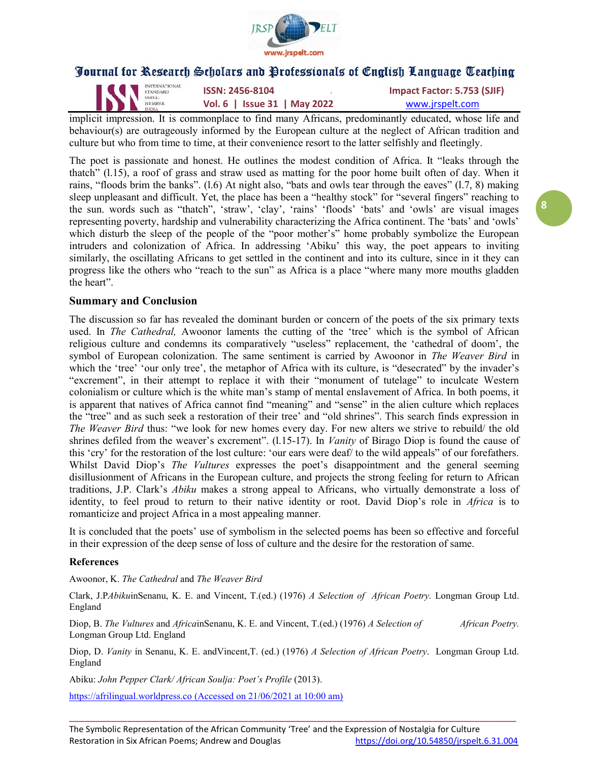

| IN STANDARD | <b>INTERNATIONAL</b><br>ISSN: 2456-8104 | <b>Impact Factor: 5.753 (SJIF)</b> |
|-------------|-----------------------------------------|------------------------------------|
|             | Vol. 6   Issue 31   May 2022            | www.jrspelt.com                    |

implicit impression. It is commonplace to find many Africans, predominantly educated, whose life and behaviour(s) are outrageously informed by the European culture at the neglect of African tradition and culture but who from time to time, at their convenience resort to the latter selfishly and fleetingly.

The poet is passionate and honest. He outlines the modest condition of Africa. It "leaks through the thatch" (l.15), a roof of grass and straw used as matting for the poor home built often of day. When it rains, "floods brim the banks". (l.6) At night also, "bats and owls tear through the eaves" (l.7, 8) making sleep unpleasant and difficult. Yet, the place has been a "healthy stock" for "several fingers" reaching to the sun. words such as "thatch", 'straw', 'clay', 'rains' 'floods' 'bats' and 'owls' are visual images representing poverty, hardship and vulnerability characterizing the Africa continent. The 'bats' and 'owls' which disturb the sleep of the people of the "poor mother's" home probably symbolize the European intruders and colonization of Africa. In addressing 'Abiku' this way, the poet appears to inviting similarly, the oscillating Africans to get settled in the continent and into its culture, since in it they can progress like the others who "reach to the sun" as Africa is a place "where many more mouths gladden the heart".

#### Summary and Conclusion

The discussion so far has revealed the dominant burden or concern of the poets of the six primary texts used. In The Cathedral, Awoonor laments the cutting of the 'tree' which is the symbol of African religious culture and condemns its comparatively "useless" replacement, the 'cathedral of doom', the symbol of European colonization. The same sentiment is carried by Awoonor in The Weaver Bird in which the 'tree' 'our only tree', the metaphor of Africa with its culture, is "desecrated" by the invader's "excrement", in their attempt to replace it with their "monument of tutelage" to inculcate Western colonialism or culture which is the white man's stamp of mental enslavement of Africa. In both poems, it is apparent that natives of Africa cannot find "meaning" and "sense" in the alien culture which replaces the "tree" and as such seek a restoration of their tree' and "old shrines". This search finds expression in The Weaver Bird thus: "we look for new homes every day. For new alters we strive to rebuild/ the old shrines defiled from the weaver's excrement". (l.15-17). In Vanity of Birago Diop is found the cause of this 'cry' for the restoration of the lost culture: 'our ears were deaf/ to the wild appeals" of our forefathers. Whilst David Diop's The Vultures expresses the poet's disappointment and the general seeming disillusionment of Africans in the European culture, and projects the strong feeling for return to African traditions, J.P. Clark's Abiku makes a strong appeal to Africans, who virtually demonstrate a loss of identity, to feel proud to return to their native identity or root. David Diop's role in Africa is to romanticize and project Africa in a most appealing manner.

It is concluded that the poets' use of symbolism in the selected poems has been so effective and forceful in their expression of the deep sense of loss of culture and the desire for the restoration of same.

#### References

Awoonor, K. The Cathedral and The Weaver Bird

Clark, J.PAbikuinSenanu, K. E. and Vincent, T.(ed.) (1976) A Selection of African Poetry. Longman Group Ltd. England

Diop, B. The Vultures and AfricainSenanu, K. E. and Vincent, T.(ed.) (1976) A Selection of African Poetry. Longman Group Ltd. England

Diop, D. Vanity in Senanu, K. E. and Vincent, T. (ed.) (1976) A Selection of African Poetry. Longman Group Ltd. England

Abiku: John Pepper Clark/ African Soulja: Poet's Profile (2013).

https://afrilingual.worldpress.co (Accessed on 21/06/2021 at 10:00 am)